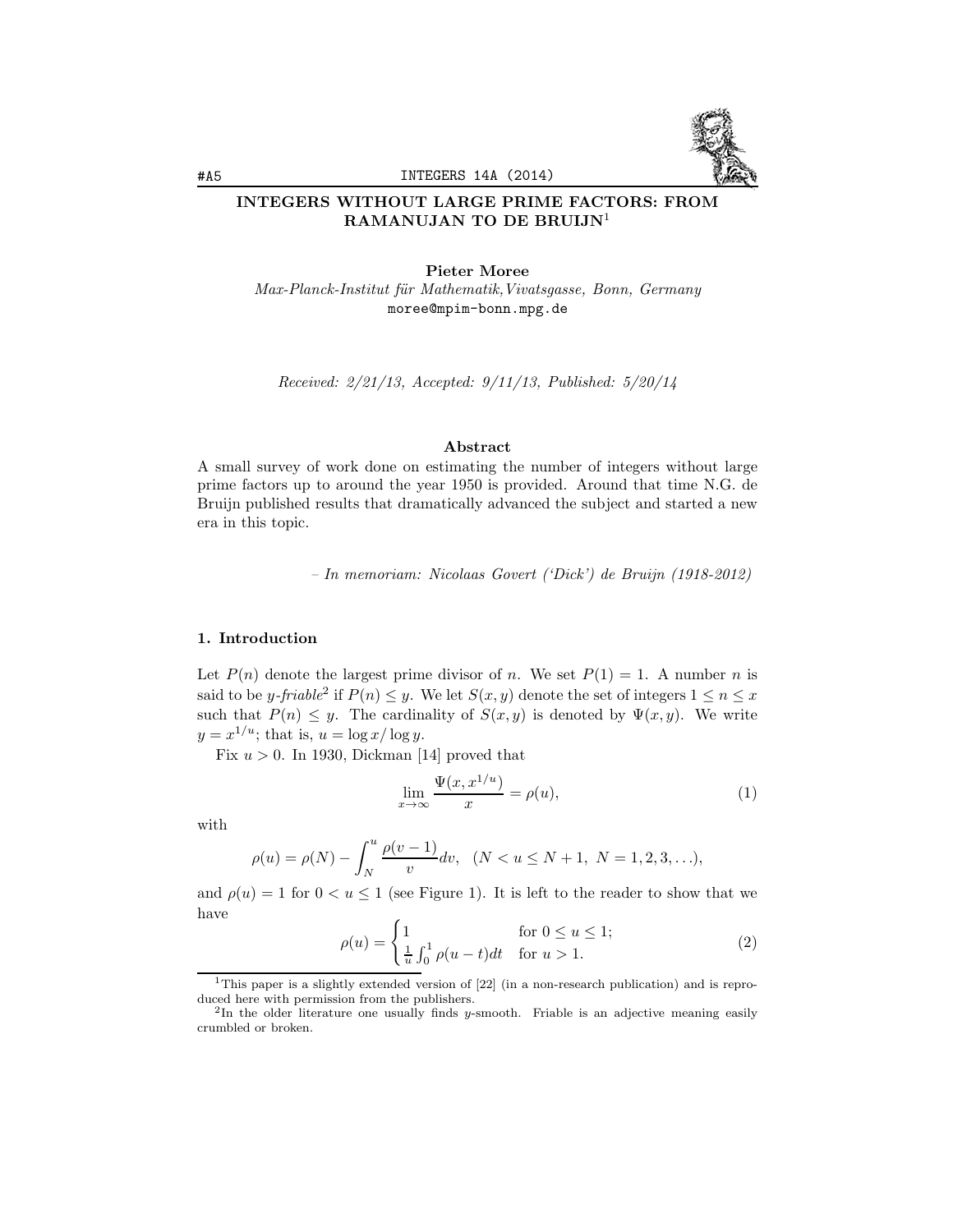

# INTEGERS WITHOUT LARGE PRIME FACTORS: FROM RAMANUJAN TO DE BRUIJN<sup>1</sup>

Pieter Moree Max-Planck-Institut für Mathematik, Vivatsgasse, Bonn, Germany moree@mpim-bonn.mpg.de

Received: 2/21/13, Accepted: 9/11/13, Published: 5/20/14

#### Abstract

A small survey of work done on estimating the number of integers without large prime factors up to around the year 1950 is provided. Around that time N.G. de Bruijn published results that dramatically advanced the subject and started a new era in this topic.

– In memoriam: Nicolaas Govert ('Dick') de Bruijn (1918-2012)

## 1. Introduction

Let  $P(n)$  denote the largest prime divisor of n. We set  $P(1) = 1$ . A number n is said to be y-friable<sup>2</sup> if  $P(n) \leq y$ . We let  $S(x, y)$  denote the set of integers  $1 \leq n \leq x$ such that  $P(n) \leq y$ . The cardinality of  $S(x, y)$  is denoted by  $\Psi(x, y)$ . We write  $y = x^{1/u}$ ; that is,  $u = \log x / \log y$ .

Fix  $u > 0$ . In 1930, Dickman [14] proved that

$$
\lim_{x \to \infty} \frac{\Psi(x, x^{1/u})}{x} = \rho(u),\tag{1}
$$

with

$$
\rho(u) = \rho(N) - \int_N^u \frac{\rho(v-1)}{v} dv, \quad (N < u \le N+1, \ N = 1, 2, 3, \ldots),
$$

and  $\rho(u) = 1$  for  $0 < u \le 1$  (see Figure 1). It is left to the reader to show that we have

$$
\rho(u) = \begin{cases} 1 & \text{for } 0 \le u \le 1; \\ \frac{1}{u} \int_0^1 \rho(u-t)dt & \text{for } u > 1. \end{cases}
$$
 (2)

<sup>&</sup>lt;sup>1</sup>This paper is a slightly extended version of [22] (in a non-research publication) and is reproduced here with permission from the publishers.

<sup>&</sup>lt;sup>2</sup>In the older literature one usually finds y-smooth. Friable is an adjective meaning easily crumbled or broken.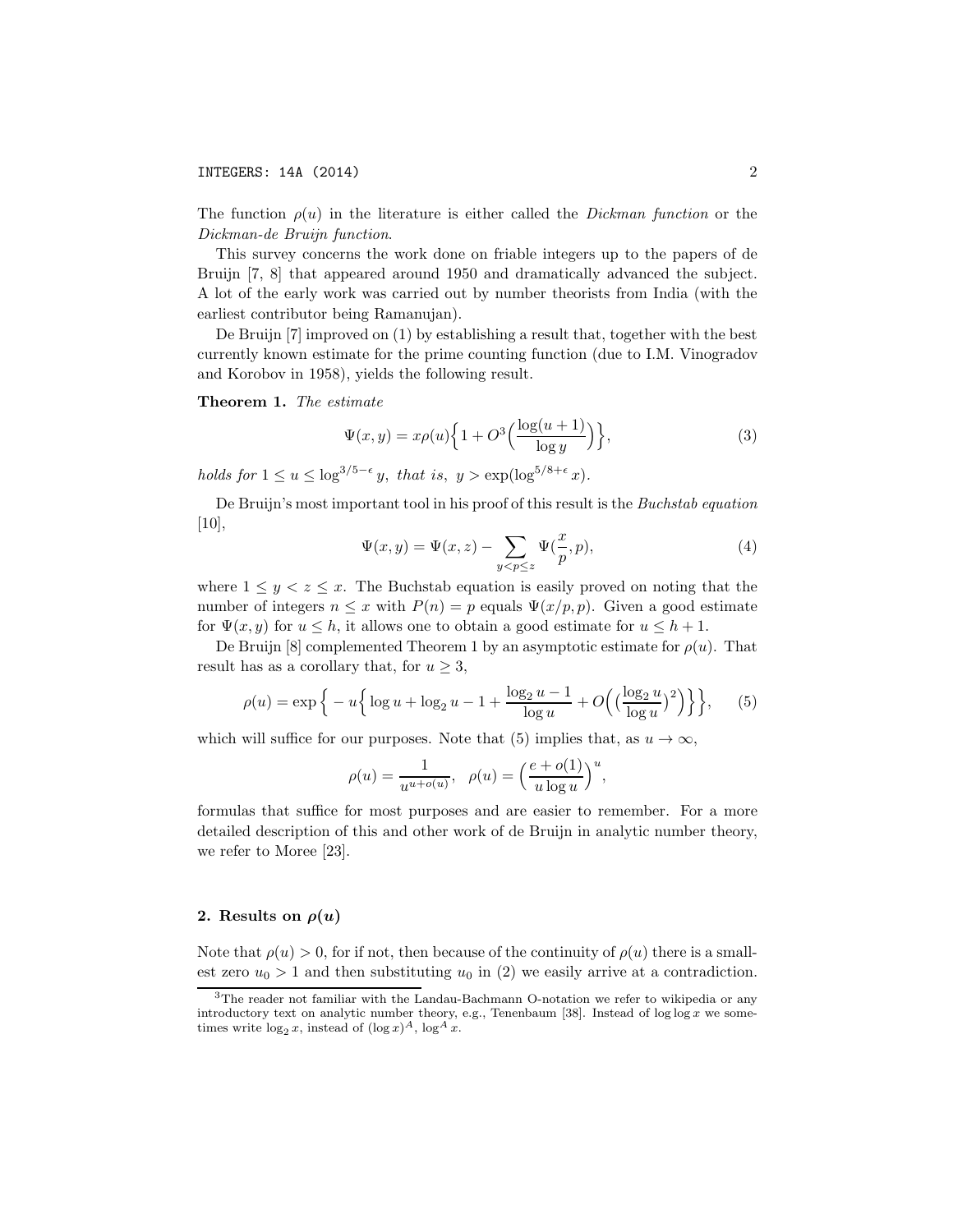The function  $\rho(u)$  in the literature is either called the *Dickman function* or the Dickman-de Bruijn function.

This survey concerns the work done on friable integers up to the papers of de Bruijn [7, 8] that appeared around 1950 and dramatically advanced the subject. A lot of the early work was carried out by number theorists from India (with the earliest contributor being Ramanujan).

De Bruijn [7] improved on (1) by establishing a result that, together with the best currently known estimate for the prime counting function (due to I.M. Vinogradov and Korobov in 1958), yields the following result.

Theorem 1. The estimate

$$
\Psi(x,y) = x\rho(u)\left\{1 + O^3\left(\frac{\log(u+1)}{\log y}\right)\right\},\tag{3}
$$

holds for  $1 \le u \le \log^{3/5-\epsilon} y$ , that is,  $y > \exp(\log^{5/8+\epsilon} x)$ .

De Bruijn's most important tool in his proof of this result is the Buchstab equation [10],

$$
\Psi(x,y) = \Psi(x,z) - \sum_{y < p \le z} \Psi(\frac{x}{p},p),\tag{4}
$$

where  $1 \leq y \leq z \leq x$ . The Buchstab equation is easily proved on noting that the number of integers  $n \leq x$  with  $P(n) = p$  equals  $\Psi(x/p, p)$ . Given a good estimate for  $\Psi(x, y)$  for  $u \leq h$ , it allows one to obtain a good estimate for  $u \leq h + 1$ .

De Bruijn [8] complemented Theorem 1 by an asymptotic estimate for  $\rho(u)$ . That result has as a corollary that, for  $u \geq 3$ ,

$$
\rho(u) = \exp\Big\{-u\Big\{\log u + \log_2 u - 1 + \frac{\log_2 u - 1}{\log u} + O\Big(\Big(\frac{\log_2 u}{\log u}\Big)^2\Big)\Big\}\Big\},\qquad(5)
$$

which will suffice for our purposes. Note that (5) implies that, as  $u \to \infty$ ,

$$
\rho(u) = \frac{1}{u^{u+o(u)}}, \quad \rho(u) = \left(\frac{e+o(1)}{u \log u}\right)^u,
$$

formulas that suffice for most purposes and are easier to remember. For a more detailed description of this and other work of de Bruijn in analytic number theory, we refer to Moree [23].

### 2. Results on  $\rho(u)$

Note that  $\rho(u) > 0$ , for if not, then because of the continuity of  $\rho(u)$  there is a smallest zero  $u_0 > 1$  and then substituting  $u_0$  in (2) we easily arrive at a contradiction.

<sup>3</sup>The reader not familiar with the Landau-Bachmann O-notation we refer to wikipedia or any introductory text on analytic number theory, e.g., Tenenbaum [38]. Instead of  $\log \log x$  we sometimes write  $\log_2 x$ , instead of  $(\log x)^A$ ,  $\log^A x$ .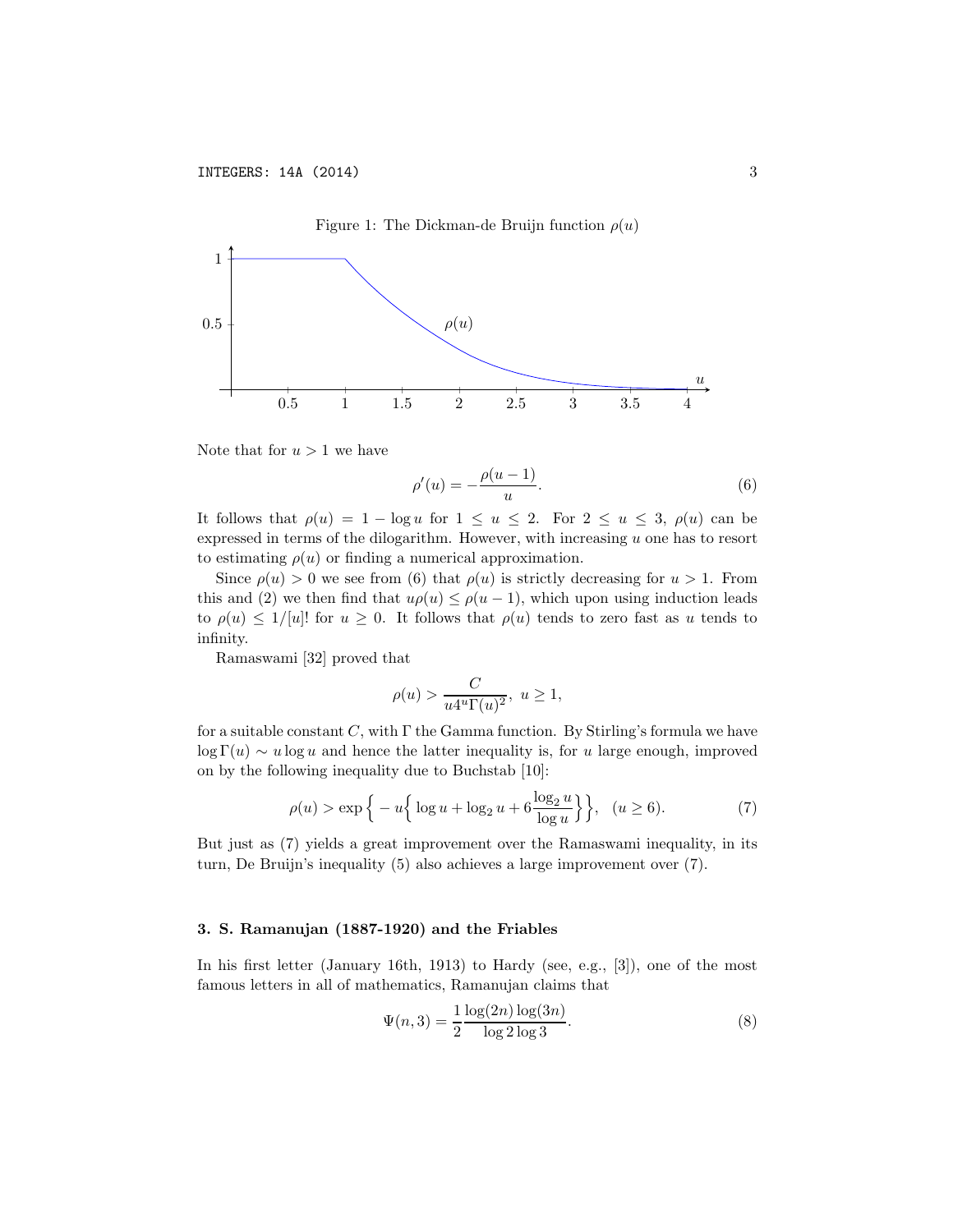

Note that for  $u > 1$  we have

$$
\rho'(u) = -\frac{\rho(u-1)}{u}.\tag{6}
$$

It follows that  $\rho(u)=1 - \log u$  for  $1 \le u \le 2$ . For  $2 \le u \le 3$ ,  $\rho(u)$  can be expressed in terms of the dilogarithm. However, with increasing  $u$  one has to resort to estimating  $\rho(u)$  or finding a numerical approximation.

Since  $\rho(u) > 0$  we see from (6) that  $\rho(u)$  is strictly decreasing for  $u > 1$ . From this and (2) we then find that  $u\rho(u) \leq \rho(u-1)$ , which upon using induction leads to  $\rho(u) \leq 1/[u]!$  for  $u \geq 0$ . It follows that  $\rho(u)$  tends to zero fast as u tends to infinity.

Ramaswami [32] proved that

$$
\rho(u)>\frac{C}{u4^u\Gamma(u)^2},\ u\geq 1,
$$

for a suitable constant C, with  $\Gamma$  the Gamma function. By Stirling's formula we have  $\log \Gamma(u) \sim u \log u$  and hence the latter inequality is, for u large enough, improved on by the following inequality due to Buchstab [10]:

$$
\rho(u) > \exp\left\{-u\left\{\log u + \log_2 u + 6\frac{\log_2 u}{\log u}\right\}\right\}, \ (u \ge 6). \tag{7}
$$

But just as (7) yields a great improvement over the Ramaswami inequality, in its turn, De Bruijn's inequality (5) also achieves a large improvement over (7).

#### 3. S. Ramanujan (1887-1920) and the Friables

In his first letter (January 16th, 1913) to Hardy (see, e.g., [3]), one of the most famous letters in all of mathematics, Ramanujan claims that

$$
\Psi(n,3) = \frac{1}{2} \frac{\log(2n) \log(3n)}{\log 2 \log 3}.
$$
\n(8)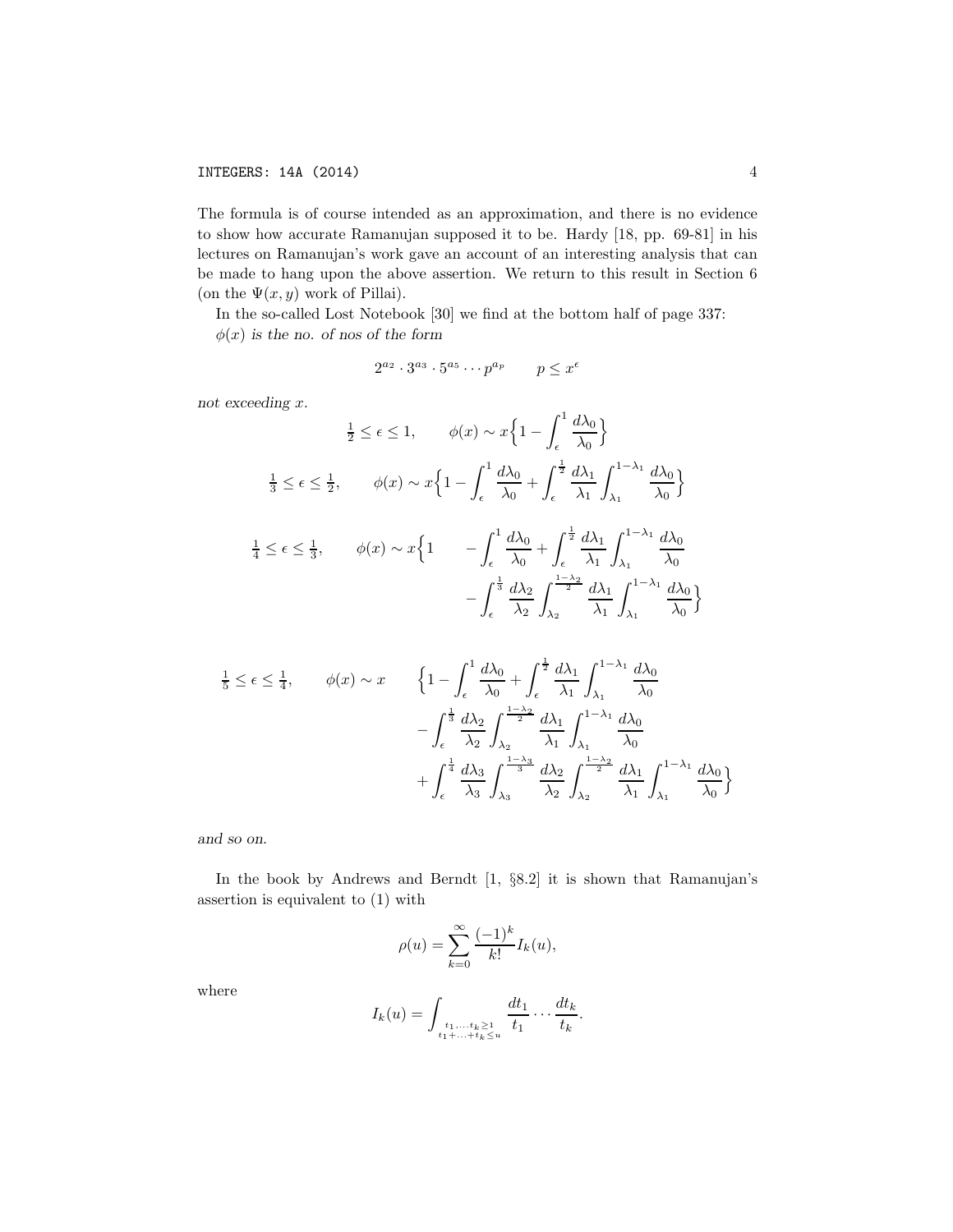## INTEGERS: 14A (2014) 4

The formula is of course intended as an approximation, and there is no evidence to show how accurate Ramanujan supposed it to be. Hardy [18, pp. 69-81] in his lectures on Ramanujan's work gave an account of an interesting analysis that can be made to hang upon the above assertion. We return to this result in Section 6 (on the  $\Psi(x, y)$  work of Pillai).

In the so-called Lost Notebook [30] we find at the bottom half of page 337:  $\phi(x)$  is the no. of nos of the form

$$
2^{a_2} \cdot 3^{a_3} \cdot 5^{a_5} \cdots p^{a_p} \qquad p \le x^{\epsilon}
$$

not exceeding x.

$$
\frac{1}{2} \leq \epsilon \leq 1, \qquad \phi(x) \sim x \Big\{ 1 - \int_{\epsilon}^{1} \frac{d\lambda_0}{\lambda_0} \Big\}
$$

$$
\frac{1}{3} \leq \epsilon \leq \frac{1}{2}, \qquad \phi(x) \sim x \Big\{ 1 - \int_{\epsilon}^{1} \frac{d\lambda_0}{\lambda_0} + \int_{\epsilon}^{\frac{1}{2}} \frac{d\lambda_1}{\lambda_1} \int_{\lambda_1}^{1 - \lambda_1} \frac{d\lambda_0}{\lambda_0} \Big\}
$$

$$
\frac{1}{4} \leq \epsilon \leq \frac{1}{3}, \qquad \phi(x) \sim x \Big\{ 1 - \int_{\epsilon}^{1} \frac{d\lambda_0}{\lambda_0} + \int_{\epsilon}^{\frac{1}{2}} \frac{d\lambda_1}{\lambda_1} \int_{\lambda_1}^{1 - \lambda_1} \frac{d\lambda_0}{\lambda_0} - \int_{\epsilon}^{\frac{1}{3}} \frac{d\lambda_2}{\lambda_2} \int_{\lambda_2}^{\frac{1 - \lambda_2}{2}} \frac{d\lambda_1}{\lambda_1} \int_{\lambda_1}^{1 - \lambda_1} \frac{d\lambda_0}{\lambda_0} \Big\}
$$

$$
\frac{1}{5} \leq \epsilon \leq \frac{1}{4}, \qquad \phi(x) \sim x \qquad \left\{ 1 - \int_{\epsilon}^{1} \frac{d\lambda_{0}}{\lambda_{0}} + \int_{\epsilon}^{\frac{1}{2}} \frac{d\lambda_{1}}{\lambda_{1}} \int_{\lambda_{1}}^{1-\lambda_{1}} \frac{d\lambda_{0}}{\lambda_{0}} - \int_{\epsilon}^{\frac{1}{3}} \frac{d\lambda_{2}}{\lambda_{2}} \int_{\lambda_{2}}^{\frac{1-\lambda_{2}}{2}} \frac{d\lambda_{1}}{\lambda_{1}} \int_{\lambda_{1}}^{1-\lambda_{1}} \frac{d\lambda_{0}}{\lambda_{0}} + \int_{\epsilon}^{\frac{1}{4}} \frac{d\lambda_{3}}{\lambda_{3}} \int_{\lambda_{3}}^{\frac{1-\lambda_{3}}{3}} \frac{d\lambda_{2}}{\lambda_{2}} \int_{\lambda_{2}}^{\frac{1-\lambda_{2}}{2}} \frac{d\lambda_{1}}{\lambda_{1}} \int_{\lambda_{1}}^{1-\lambda_{1}} \frac{d\lambda_{0}}{\lambda_{0}} \right\}
$$

and so on.

In the book by Andrews and Berndt [1, §8.2] it is shown that Ramanujan's assertion is equivalent to (1) with

$$
\rho(u) = \sum_{k=0}^{\infty} \frac{(-1)^k}{k!} I_k(u),
$$

where

$$
I_k(u) = \int_{\substack{t_1,\ldots,t_k \geq 1 \\ t_1 + \ldots + t_k \leq u}} \frac{dt_1}{t_1} \ldots \frac{dt_k}{t_k}.
$$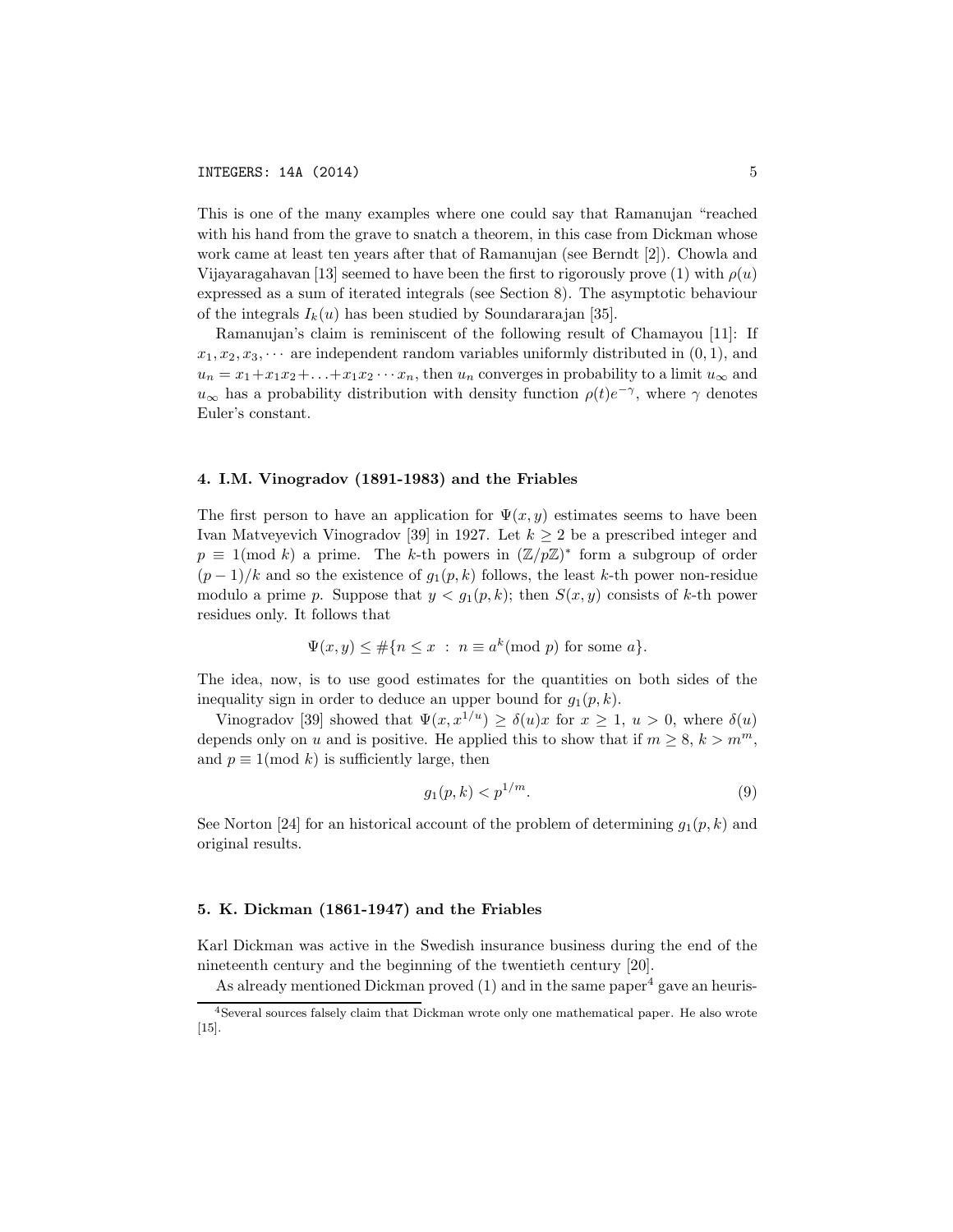This is one of the many examples where one could say that Ramanujan "reached with his hand from the grave to snatch a theorem, in this case from Dickman whose work came at least ten years after that of Ramanujan (see Berndt [2]). Chowla and Vijayaragahavan [13] seemed to have been the first to rigorously prove (1) with  $\rho(u)$ expressed as a sum of iterated integrals (see Section 8). The asymptotic behaviour of the integrals  $I_k(u)$  has been studied by Soundararajan [35].

Ramanujan's claim is reminiscent of the following result of Chamayou [11]: If  $x_1, x_2, x_3, \cdots$  are independent random variables uniformly distributed in  $(0, 1)$ , and  $u_n = x_1 + x_1x_2 + \ldots + x_1x_2 \cdots x_n$ , then  $u_n$  converges in probability to a limit  $u_\infty$  and  $u_{\infty}$  has a probability distribution with density function  $\rho(t)e^{-\gamma}$ , where  $\gamma$  denotes Euler's constant.

#### 4. I.M. Vinogradov (1891-1983) and the Friables

The first person to have an application for  $\Psi(x, y)$  estimates seems to have been Ivan Matveyevich Vinogradov [39] in 1927. Let  $k \geq 2$  be a prescribed integer and  $p \equiv 1 \pmod{k}$  a prime. The k-th powers in  $(\mathbb{Z}/p\mathbb{Z})^*$  form a subgroup of order  $(p-1)/k$  and so the existence of  $q_1(p, k)$  follows, the least k-th power non-residue modulo a prime p. Suppose that  $y < g_1(p, k)$ ; then  $S(x, y)$  consists of k-th power residues only. It follows that

$$
\Psi(x, y) \leq \#\{n \leq x \; : \; n \equiv a^k \pmod{p} \text{ for some } a\}.
$$

The idea, now, is to use good estimates for the quantities on both sides of the inequality sign in order to deduce an upper bound for  $g_1(p, k)$ .

Vinogradov [39] showed that  $\Psi(x, x^{1/u}) \geq \delta(u)x$  for  $x \geq 1, u > 0$ , where  $\delta(u)$ depends only on u and is positive. He applied this to show that if  $m \geq 8$ ,  $k > m<sup>m</sup>$ , and  $p \equiv 1 \pmod{k}$  is sufficiently large, then

$$
g_1(p,k) < p^{1/m}.\tag{9}
$$

See Norton [24] for an historical account of the problem of determining  $q_1(p, k)$  and original results.

# 5. K. Dickman (1861-1947) and the Friables

Karl Dickman was active in the Swedish insurance business during the end of the nineteenth century and the beginning of the twentieth century [20].

As already mentioned Dickman proved  $(1)$  and in the same paper<sup>4</sup> gave an heuris-

<sup>4</sup>Several sources falsely claim that Dickman wrote only one mathematical paper. He also wrote [15].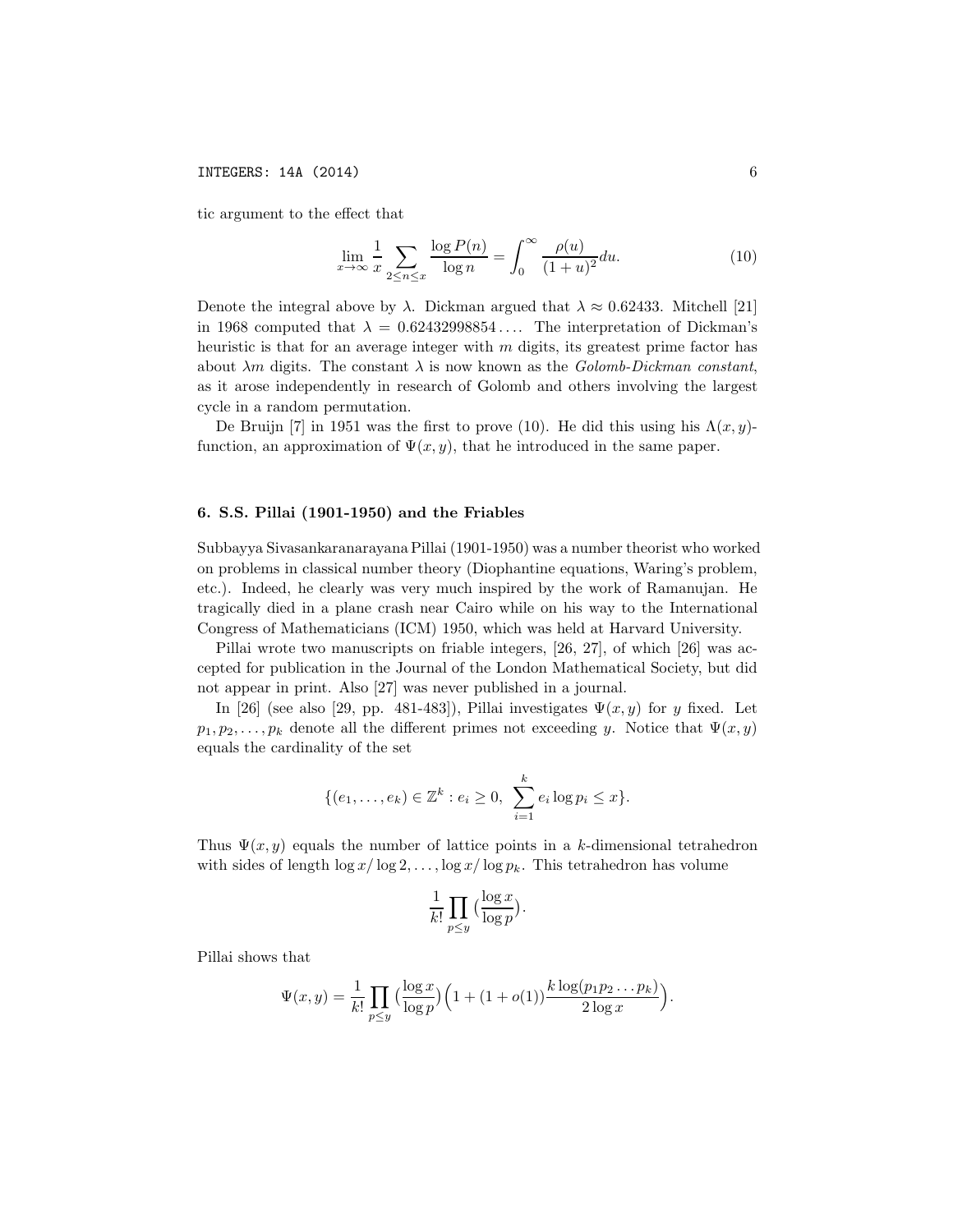tic argument to the effect that

$$
\lim_{x \to \infty} \frac{1}{x} \sum_{2 \le n \le x} \frac{\log P(n)}{\log n} = \int_0^\infty \frac{\rho(u)}{(1+u)^2} du.
$$
 (10)

Denote the integral above by  $\lambda$ . Dickman argued that  $\lambda \approx 0.62433$ . Mitchell [21] in 1968 computed that  $\lambda = 0.62432998854...$  The interpretation of Dickman's heuristic is that for an average integer with  $m$  digits, its greatest prime factor has about  $\lambda m$  digits. The constant  $\lambda$  is now known as the *Golomb-Dickman constant*, as it arose independently in research of Golomb and others involving the largest cycle in a random permutation.

De Bruijn [7] in 1951 was the first to prove (10). He did this using his  $\Lambda(x, y)$ function, an approximation of  $\Psi(x, y)$ , that he introduced in the same paper.

### 6. S.S. Pillai (1901-1950) and the Friables

Subbayya Sivasankaranarayana Pillai (1901-1950) was a number theorist who worked on problems in classical number theory (Diophantine equations, Waring's problem, etc.). Indeed, he clearly was very much inspired by the work of Ramanujan. He tragically died in a plane crash near Cairo while on his way to the International Congress of Mathematicians (ICM) 1950, which was held at Harvard University.

Pillai wrote two manuscripts on friable integers, [26, 27], of which [26] was accepted for publication in the Journal of the London Mathematical Society, but did not appear in print. Also [27] was never published in a journal.

In [26] (see also [29, pp. 481-483]), Pillai investigates  $\Psi(x, y)$  for y fixed. Let  $p_1, p_2, \ldots, p_k$  denote all the different primes not exceeding y. Notice that  $\Psi(x, y)$ equals the cardinality of the set

$$
\{(e_1, \ldots, e_k) \in \mathbb{Z}^k : e_i \ge 0, \sum_{i=1}^k e_i \log p_i \le x\}.
$$

Thus  $\Psi(x, y)$  equals the number of lattice points in a k-dimensional tetrahedron with sides of length  $\log x / \log 2, \ldots, \log x / \log p_k$ . This tetrahedron has volume

$$
\frac{1}{k!} \prod_{p \le y} \Big( \frac{\log x}{\log p} \Big).
$$

Pillai shows that

$$
\Psi(x,y) = \frac{1}{k!} \prod_{p \le y} \left( \frac{\log x}{\log p} \right) \left( 1 + (1 + o(1)) \frac{k \log (p_1 p_2 \dots p_k)}{2 \log x} \right)
$$

.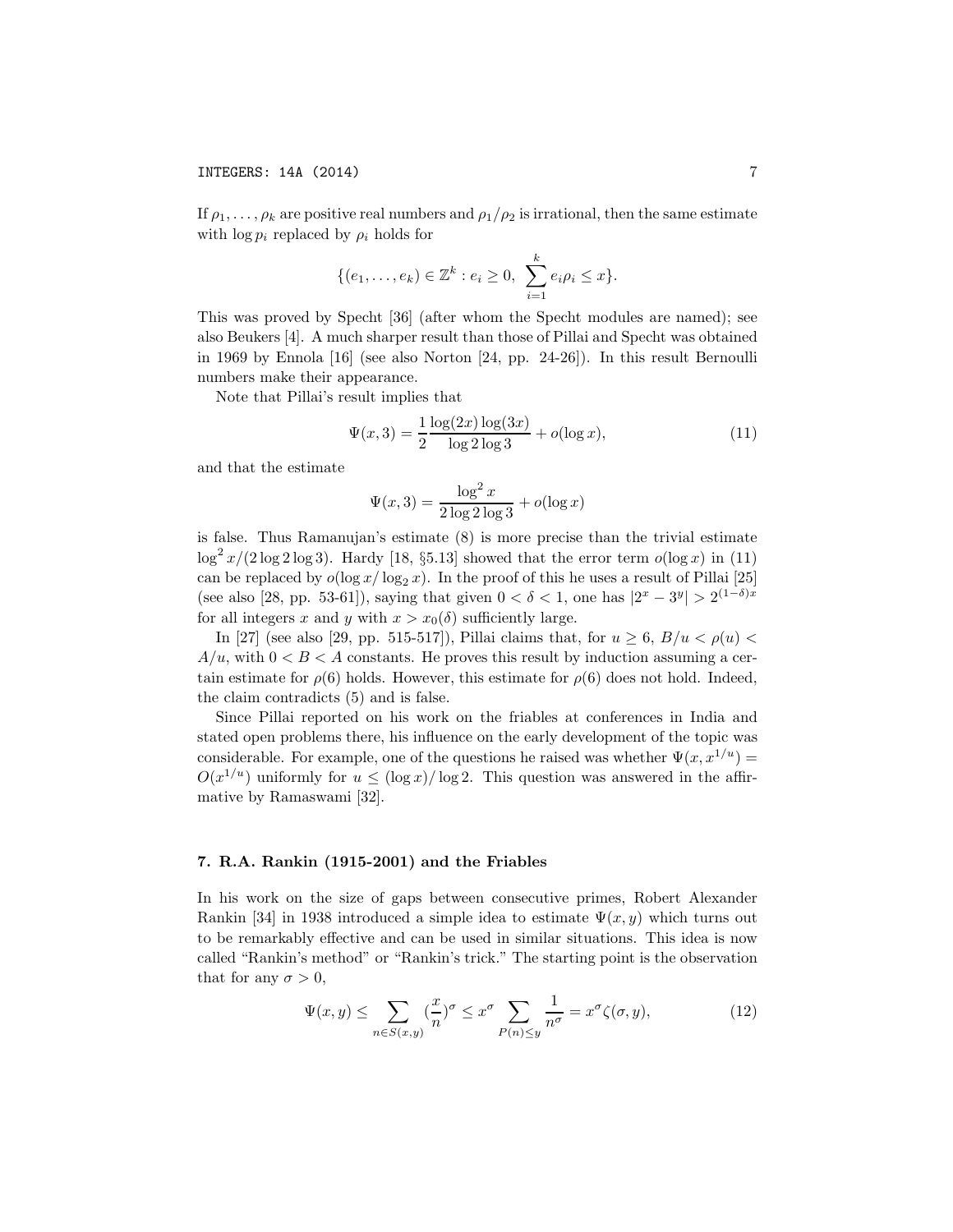If  $\rho_1, \ldots, \rho_k$  are positive real numbers and  $\rho_1/\rho_2$  is irrational, then the same estimate with  $\log p_i$  replaced by  $\rho_i$  holds for

$$
\{(e_1, \ldots, e_k) \in \mathbb{Z}^k : e_i \ge 0, \sum_{i=1}^k e_i \rho_i \le x\}.
$$

This was proved by Specht [36] (after whom the Specht modules are named); see also Beukers [4]. A much sharper result than those of Pillai and Specht was obtained in 1969 by Ennola [16] (see also Norton [24, pp. 24-26]). In this result Bernoulli numbers make their appearance.

Note that Pillai's result implies that

$$
\Psi(x,3) = \frac{1}{2} \frac{\log(2x) \log(3x)}{\log 2 \log 3} + o(\log x),\tag{11}
$$

and that the estimate

$$
\Psi(x,3) = \frac{\log^2 x}{2 \log 2 \log 3} + o(\log x)
$$

is false. Thus Ramanujan's estimate (8) is more precise than the trivial estimate  $\log^2 x/(2 \log 2 \log 3)$ . Hardy [18, §5.13] showed that the error term  $o(\log x)$  in (11) can be replaced by  $o(\log x/\log_2 x)$ . In the proof of this he uses a result of Pillai [25] (see also [28, pp. 53-61]), saying that given  $0 < \delta < 1$ , one has  $|2^x - 3^y| > 2^{(1-\delta)x}$ for all integers x and y with  $x > x_0(\delta)$  sufficiently large.

In [27] (see also [29, pp. 515-517]), Pillai claims that, for  $u \geq 6$ ,  $B/u < \rho(u)$  $A/u$ , with  $0 < B < A$  constants. He proves this result by induction assuming a certain estimate for  $\rho(6)$  holds. However, this estimate for  $\rho(6)$  does not hold. Indeed, the claim contradicts (5) and is false.

Since Pillai reported on his work on the friables at conferences in India and stated open problems there, his influence on the early development of the topic was considerable. For example, one of the questions he raised was whether  $\Psi(x, x^{1/u}) =$  $O(x^{1/u})$  uniformly for  $u \leq (\log x)/\log 2$ . This question was answered in the affirmative by Ramaswami [32].

### 7. R.A. Rankin (1915-2001) and the Friables

In his work on the size of gaps between consecutive primes, Robert Alexander Rankin [34] in 1938 introduced a simple idea to estimate  $\Psi(x, y)$  which turns out to be remarkably effective and can be used in similar situations. This idea is now called "Rankin's method" or "Rankin's trick." The starting point is the observation that for any  $\sigma > 0$ ,

$$
\Psi(x,y) \le \sum_{n \in S(x,y)} \left(\frac{x}{n}\right)^{\sigma} \le x^{\sigma} \sum_{P(n) \le y} \frac{1}{n^{\sigma}} = x^{\sigma} \zeta(\sigma, y),\tag{12}
$$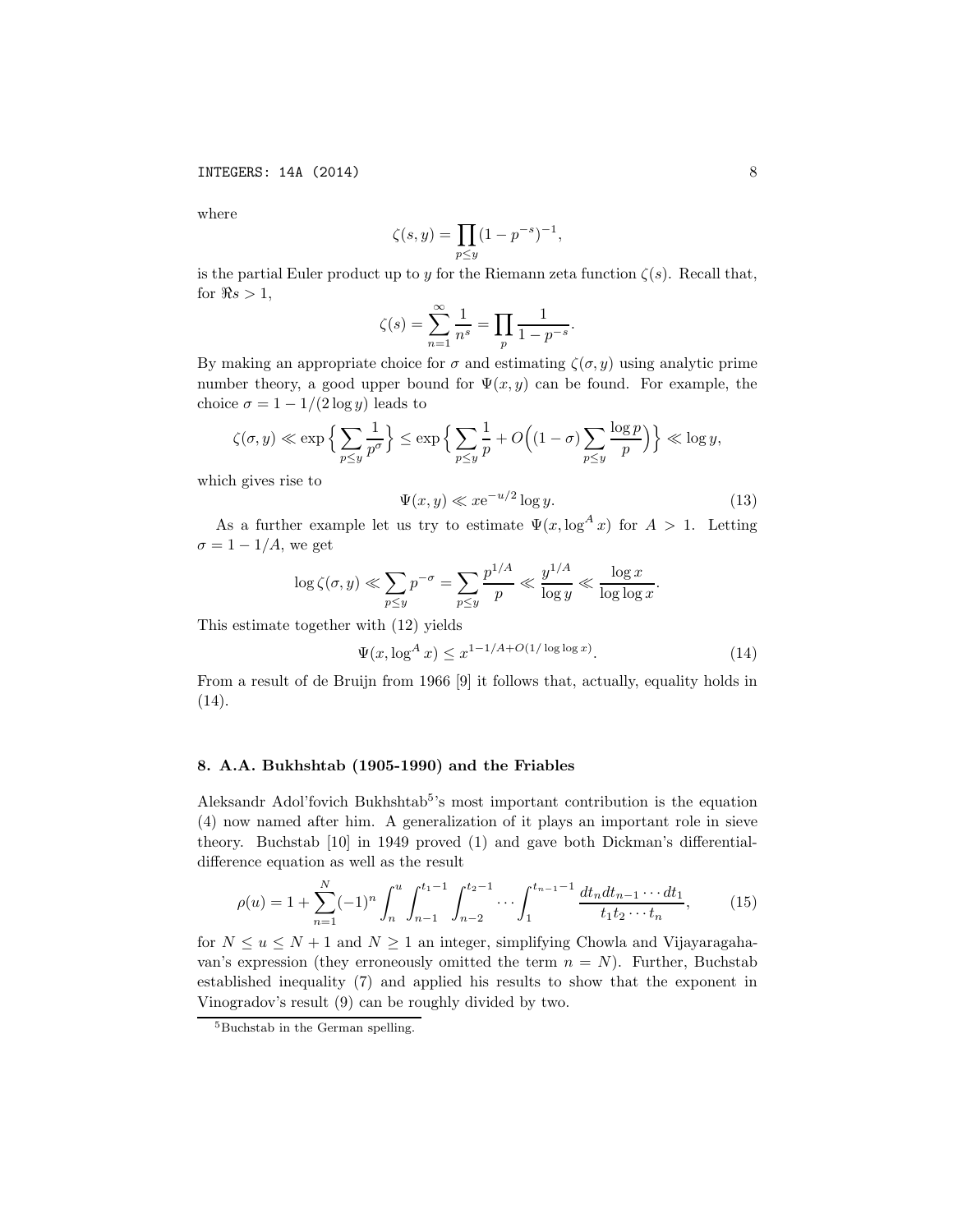where

$$
\zeta(s, y) = \prod_{p \le y} (1 - p^{-s})^{-1},
$$

is the partial Euler product up to y for the Riemann zeta function  $\zeta(s)$ . Recall that, for  $\Re s > 1$ ,

$$
\zeta(s) = \sum_{n=1}^{\infty} \frac{1}{n^s} = \prod_p \frac{1}{1 - p^{-s}}.
$$

By making an appropriate choice for  $\sigma$  and estimating  $\zeta(\sigma, y)$  using analytic prime number theory, a good upper bound for  $\Psi(x, y)$  can be found. For example, the choice  $\sigma = 1 - 1/(2 \log y)$  leads to

$$
\zeta(\sigma, y) \ll \exp\left\{\sum_{p\le y} \frac{1}{p^{\sigma}}\right\} \le \exp\left\{\sum_{p\le y} \frac{1}{p} + O\left((1-\sigma)\sum_{p\le y} \frac{\log p}{p}\right)\right\} \ll \log y,
$$

which gives rise to

$$
\Psi(x, y) \ll x e^{-u/2} \log y. \tag{13}
$$

As a further example let us try to estimate  $\Psi(x, \log^A x)$  for  $A > 1$ . Letting  $\sigma = 1 - 1/A$ , we get

$$
\log \zeta(\sigma, y) \ll \sum_{p \le y} p^{-\sigma} = \sum_{p \le y} \frac{p^{1/A}}{p} \ll \frac{y^{1/A}}{\log y} \ll \frac{\log x}{\log \log x}.
$$

This estimate together with (12) yields

$$
\Psi(x, \log^{A} x) \le x^{1 - 1/A + O(1/\log \log x)}.
$$
\n(14)

From a result of de Bruijn from 1966 [9] it follows that, actually, equality holds in (14).

## 8. A.A. Bukhshtab (1905-1990) and the Friables

Aleksandr Adol'fovich Bukhshtab<sup>5</sup>'s most important contribution is the equation (4) now named after him. A generalization of it plays an important role in sieve theory. Buchstab [10] in 1949 proved (1) and gave both Dickman's differentialdifference equation as well as the result

$$
\rho(u) = 1 + \sum_{n=1}^{N} (-1)^n \int_n^u \int_{n-1}^{t_1-1} \int_{n-2}^{t_2-1} \cdots \int_1^{t_{n-1}-1} \frac{dt_n dt_{n-1} \cdots dt_1}{t_1 t_2 \cdots t_n},
$$
(15)

for  $N \le u \le N+1$  and  $N \ge 1$  an integer, simplifying Chowla and Vijayaragahavan's expression (they erroneously omitted the term  $n = N$ ). Further, Buchstab established inequality (7) and applied his results to show that the exponent in Vinogradov's result (9) can be roughly divided by two.

<sup>5</sup>Buchstab in the German spelling.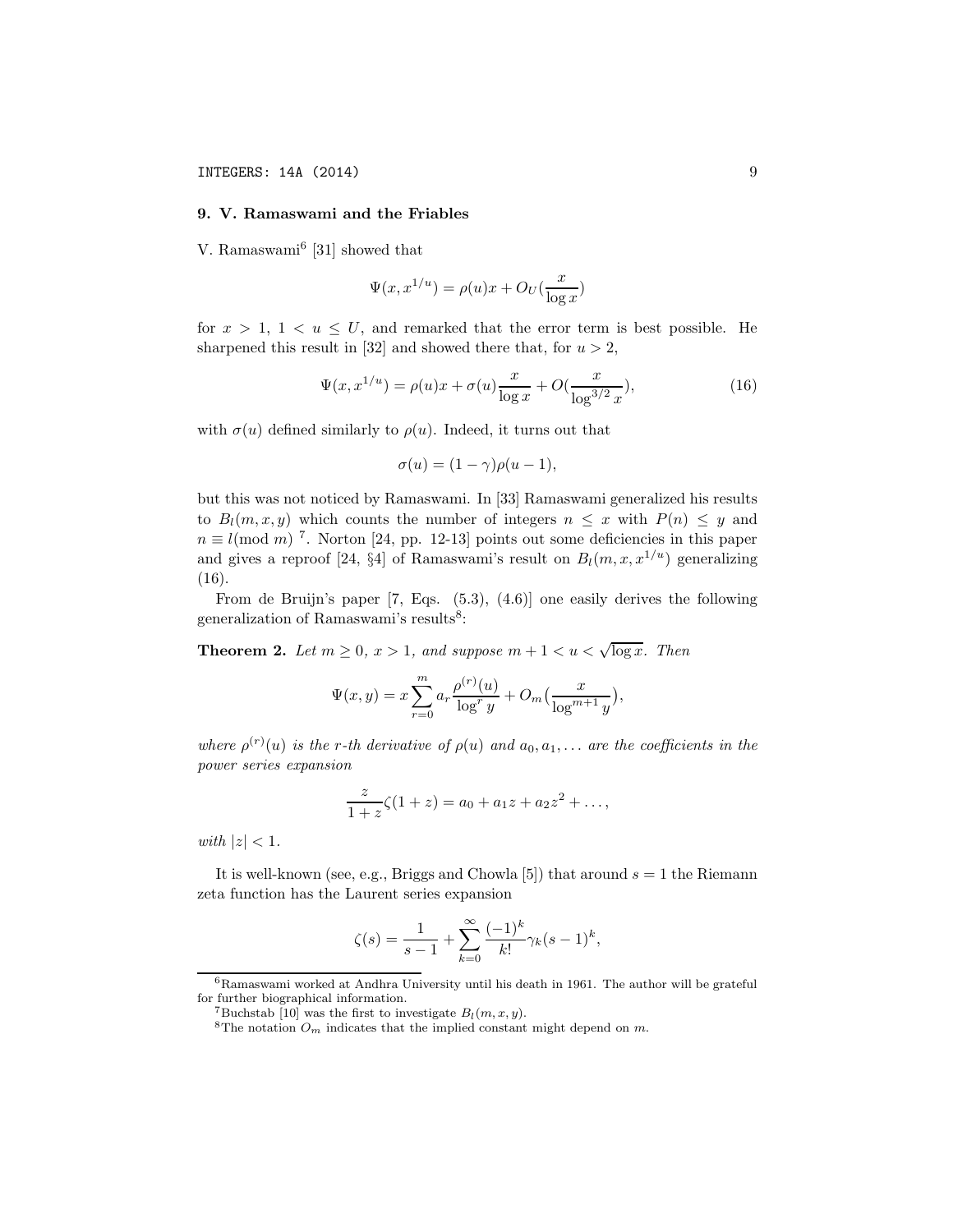## 9. V. Ramaswami and the Friables

V. Ramaswami<sup>6</sup> [31] showed that

$$
\Psi(x, x^{1/u}) = \rho(u)x + O_U(\frac{x}{\log x})
$$

for  $x > 1$ ,  $1 < u \leq U$ , and remarked that the error term is best possible. He sharpened this result in [32] and showed there that, for  $u > 2$ ,

$$
\Psi(x, x^{1/u}) = \rho(u)x + \sigma(u)\frac{x}{\log x} + O(\frac{x}{\log^{3/2} x}),\tag{16}
$$

with  $\sigma(u)$  defined similarly to  $\rho(u)$ . Indeed, it turns out that

$$
\sigma(u) = (1 - \gamma)\rho(u - 1),
$$

but this was not noticed by Ramaswami. In [33] Ramaswami generalized his results to  $B_l(m, x, y)$  which counts the number of integers  $n \leq x$  with  $P(n) \leq y$  and  $n \equiv l \pmod{m}$ <sup>7</sup>. Norton [24, pp. 12-13] points out some deficiencies in this paper and gives a reproof [24, §4] of Ramaswami's result on  $B_l(m, x, x^{1/u})$  generalizing (16).

From de Bruijn's paper [7, Eqs. (5.3), (4.6)] one easily derives the following generalization of Ramaswami's results<sup>8</sup>:

**Theorem 2.** Let  $m \geq 0$ ,  $x > 1$ , and suppose  $m + 1 < u < \sqrt{\log x}$ . Then

$$
\Psi(x,y)=x\sum_{r=0}^m a_r\frac{\rho^{(r)}(u)}{\log^ry}+O_m\big(\frac{x}{\log^{m+1}y}\big),
$$

where  $\rho^{(r)}(u)$  is the r-th derivative of  $\rho(u)$  and  $a_0, a_1, \ldots$  are the coefficients in the power series expansion

$$
\frac{z}{1+z}\zeta(1+z) = a_0 + a_1z + a_2z^2 + \dots,
$$

with  $|z| < 1$ .

It is well-known (see, e.g., Briggs and Chowla [5]) that around  $s = 1$  the Riemann zeta function has the Laurent series expansion

$$
\zeta(s) = \frac{1}{s-1} + \sum_{k=0}^{\infty} \frac{(-1)^k}{k!} \gamma_k (s-1)^k,
$$

 ${}^{6}$ Ramaswami worked at Andhra University until his death in 1961. The author will be grateful for further biographical information.<br>
<sup>7</sup>Buchstab [10] was the first to investigate  $B_l(m, x, y)$ .

<sup>&</sup>lt;sup>8</sup>The notation  $O_m$  indicates that the implied constant might depend on m.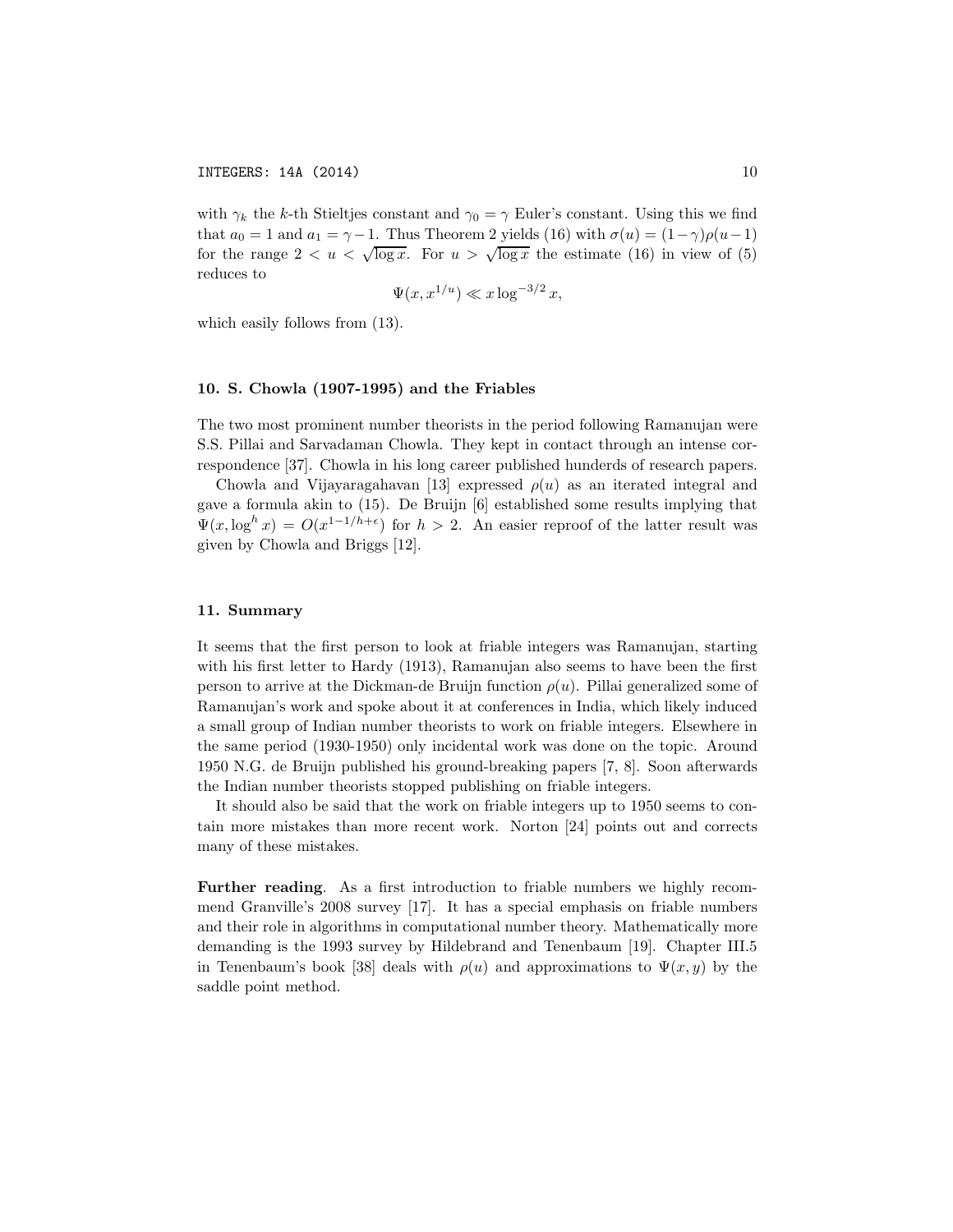with  $\gamma_k$  the k-th Stieltjes constant and  $\gamma_0 = \gamma$  Euler's constant. Using this we find that  $a_0 = 1$  and  $a_1 = \gamma - 1$ . Thus Theorem 2 yields (16) with  $\sigma(u) = (1 - \gamma)\rho(u-1)$ for the range  $2 < u < \sqrt{\log x}$ . For  $u > \sqrt{\log x}$  the estimate (16) in view of (5) reduces to

$$
\Psi(x, x^{1/u}) \ll x \log^{-3/2} x,
$$

which easily follows from  $(13)$ .

#### 10. S. Chowla (1907-1995) and the Friables

The two most prominent number theorists in the period following Ramanujan were S.S. Pillai and Sarvadaman Chowla. They kept in contact through an intense correspondence [37]. Chowla in his long career published hunderds of research papers.

Chowla and Vijayaragahavan [13] expressed  $\rho(u)$  as an iterated integral and gave a formula akin to (15). De Bruijn [6] established some results implying that  $\Psi(x, \log^h x) = O(x^{1-1/h+\epsilon})$  for  $h > 2$ . An easier reproof of the latter result was given by Chowla and Briggs [12].

#### 11. Summary

It seems that the first person to look at friable integers was Ramanujan, starting with his first letter to Hardy (1913), Ramanujan also seems to have been the first person to arrive at the Dickman-de Bruijn function  $\rho(u)$ . Pillai generalized some of Ramanujan's work and spoke about it at conferences in India, which likely induced a small group of Indian number theorists to work on friable integers. Elsewhere in the same period (1930-1950) only incidental work was done on the topic. Around 1950 N.G. de Bruijn published his ground-breaking papers [7, 8]. Soon afterwards the Indian number theorists stopped publishing on friable integers.

It should also be said that the work on friable integers up to 1950 seems to contain more mistakes than more recent work. Norton [24] points out and corrects many of these mistakes.

Further reading. As a first introduction to friable numbers we highly recommend Granville's 2008 survey [17]. It has a special emphasis on friable numbers and their role in algorithms in computational number theory. Mathematically more demanding is the 1993 survey by Hildebrand and Tenenbaum [19]. Chapter III.5 in Tenenbaum's book [38] deals with  $\rho(u)$  and approximations to  $\Psi(x, y)$  by the saddle point method.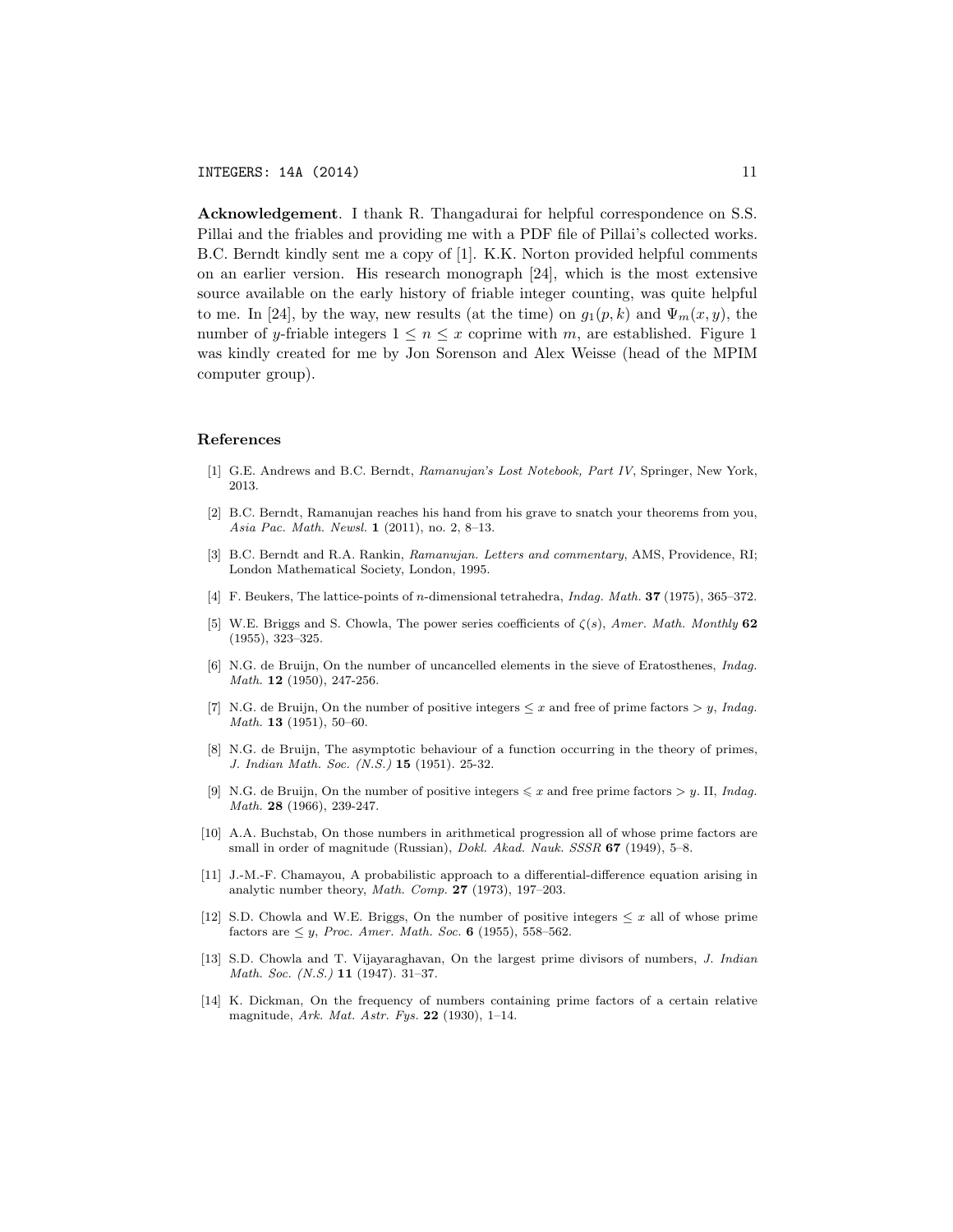Acknowledgement. I thank R. Thangadurai for helpful correspondence on S.S. Pillai and the friables and providing me with a PDF file of Pillai's collected works. B.C. Berndt kindly sent me a copy of [1]. K.K. Norton provided helpful comments on an earlier version. His research monograph [24], which is the most extensive source available on the early history of friable integer counting, was quite helpful to me. In [24], by the way, new results (at the time) on  $g_1(p, k)$  and  $\Psi_m(x, y)$ , the number of y-friable integers  $1 \leq n \leq x$  coprime with m, are established. Figure 1 was kindly created for me by Jon Sorenson and Alex Weisse (head of the MPIM computer group).

#### References

- [1] G.E. Andrews and B.C. Berndt, Ramanujan's Lost Notebook, Part IV, Springer, New York, 2013.
- [2] B.C. Berndt, Ramanujan reaches his hand from his grave to snatch your theorems from you, Asia Pac. Math. Newsl. 1 (2011), no. 2, 8–13.
- [3] B.C. Berndt and R.A. Rankin, Ramanujan. Letters and commentary, AMS, Providence, RI; London Mathematical Society, London, 1995.
- [4] F. Beukers, The lattice-points of n-dimensional tetrahedra, Indag. Math. 37 (1975), 365–372.
- [5] W.E. Briggs and S. Chowla, The power series coefficients of  $\zeta(s)$ , Amer. Math. Monthly 62 (1955), 323–325.
- [6] N.G. de Bruijn, On the number of uncancelled elements in the sieve of Eratosthenes, Indag. Math. **12** (1950), 247-256.
- [7] N.G. de Bruijn, On the number of positive integers  $\leq x$  and free of prime factors  $> y$ , Indag. Math. 13 (1951), 50–60.
- [8] N.G. de Bruijn, The asymptotic behaviour of a function occurring in the theory of primes, J. Indian Math. Soc. (N.S.) 15 (1951). 25-32.
- [9] N.G. de Bruijn, On the number of positive integers  $\leq x$  and free prime factors  $> y$ . II, *Indag.* Math. 28 (1966), 239-247.
- [10] A.A. Buchstab, On those numbers in arithmetical progression all of whose prime factors are small in order of magnitude (Russian), *Dokl. Akad. Nauk. SSSR* 67 (1949), 5-8.
- [11] J.-M.-F. Chamayou, A probabilistic approach to a differential-difference equation arising in analytic number theory, Math. Comp. 27 (1973), 197–203.
- [12] S.D. Chowla and W.E. Briggs, On the number of positive integers  $\leq x$  all of whose prime factors are  $\leq y$ , Proc. Amer. Math. Soc. 6 (1955), 558–562.
- [13] S.D. Chowla and T. Vijayaraghavan, On the largest prime divisors of numbers, J. Indian Math. Soc. (N.S.) 11 (1947). 31–37.
- [14] K. Dickman, On the frequency of numbers containing prime factors of a certain relative magnitude, Ark. Mat. Astr. Fys. 22 (1930), 1–14.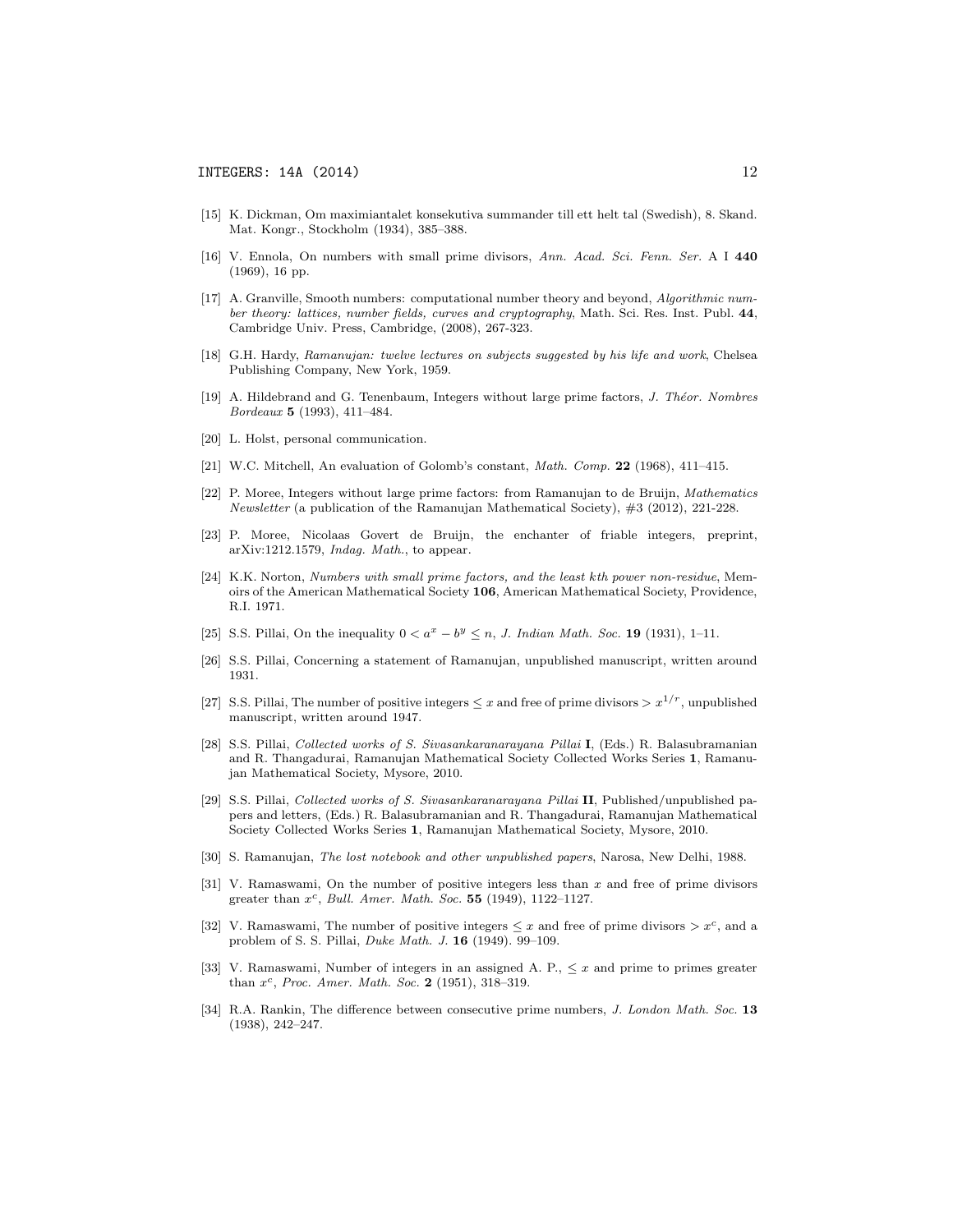- [15] K. Dickman, Om maximiantalet konsekutiva summander till ett helt tal (Swedish), 8. Skand. Mat. Kongr., Stockholm (1934), 385–388.
- [16] V. Ennola, On numbers with small prime divisors, Ann. Acad. Sci. Fenn. Ser. A I 440 (1969), 16 pp.
- [17] A. Granville, Smooth numbers: computational number theory and beyond, Algorithmic number theory: lattices, number fields, curves and cryptography, Math. Sci. Res. Inst. Publ. 44, Cambridge Univ. Press, Cambridge, (2008), 267-323.
- [18] G.H. Hardy, Ramanujan: twelve lectures on subjects suggested by his life and work, Chelsea Publishing Company, New York, 1959.
- [19] A. Hildebrand and G. Tenenbaum, Integers without large prime factors, J. Theor. Nombres Bordeaux 5 (1993), 411–484.
- [20] L. Holst, personal communication.
- [21] W.C. Mitchell, An evaluation of Golomb's constant, Math. Comp. 22 (1968), 411–415.
- [22] P. Moree, Integers without large prime factors: from Ramanujan to de Bruijn, Mathematics Newsletter (a publication of the Ramanujan Mathematical Society), #3 (2012), 221-228.
- [23] P. Moree, Nicolaas Govert de Bruijn, the enchanter of friable integers, preprint, arXiv:1212.1579, Indag. Math., to appear.
- [24] K.K. Norton, Numbers with small prime factors, and the least kth power non-residue, Memoirs of the American Mathematical Society 106, American Mathematical Society, Providence, R.I. 1971.
- [25] S.S. Pillai, On the inequality  $0 < a^x b^y \le n$ , J. Indian Math. Soc. 19 (1931), 1–11.
- [26] S.S. Pillai, Concerning a statement of Ramanujan, unpublished manuscript, written around 1931.
- [27] S.S. Pillai, The number of positive integers  $\leq x$  and free of prime divisors  $> x^{1/r}$ , unpublished manuscript, written around 1947.
- [28] S.S. Pillai, Collected works of S. Sivasankaranarayana Pillai I, (Eds.) R. Balasubramanian and R. Thangadurai, Ramanujan Mathematical Society Collected Works Series 1, Ramanujan Mathematical Society, Mysore, 2010.
- [29] S.S. Pillai, Collected works of S. Sivasankaranarayana Pillai II, Published/unpublished papers and letters, (Eds.) R. Balasubramanian and R. Thangadurai, Ramanujan Mathematical Society Collected Works Series 1, Ramanujan Mathematical Society, Mysore, 2010.
- [30] S. Ramanujan, The lost notebook and other unpublished papers, Narosa, New Delhi, 1988.
- [31] V. Ramaswami, On the number of positive integers less than x and free of prime divisors greater than  $x^c$ , Bull. Amer. Math. Soc. 55 (1949), 1122-1127.
- [32] V. Ramaswami, The number of positive integers  $\leq x$  and free of prime divisors  $> x^c$ , and a problem of S. S. Pillai, Duke Math. J. 16 (1949). 99–109.
- [33] V. Ramaswami, Number of integers in an assigned A. P.,  $\leq x$  and prime to primes greater than  $x^c$ , Proc. Amer. Math. Soc. 2 (1951), 318-319.
- [34] R.A. Rankin, The difference between consecutive prime numbers, J. London Math. Soc. 13 (1938), 242–247.